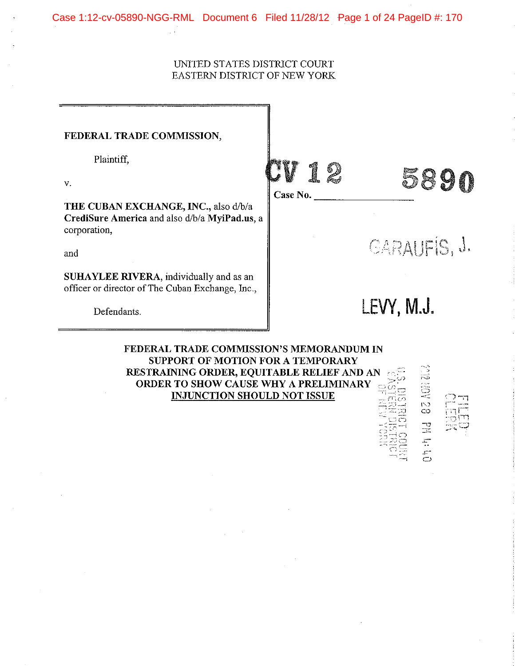## UNITED STATES DISTRJCT COURT EASTERN DISTRJCT OF NEW YORK

| FEDERAL TRADE COMMISSION,                                                                             |          |                     |  |  |  |
|-------------------------------------------------------------------------------------------------------|----------|---------------------|--|--|--|
| Plaintiff,                                                                                            |          |                     |  |  |  |
| $\mathbf{v}$ .                                                                                        | Case No. |                     |  |  |  |
| THE CUBAN EXCHANGE, INC., also d/b/a<br>CrediSure America and also d/b/a MyiPad.us, a<br>corporation, |          |                     |  |  |  |
| and                                                                                                   |          | <b>CARAUFIS, J.</b> |  |  |  |
| <b>SUHAYLEE RIVERA</b> , individually and as an<br>officer or director of The Cuban Exchange, Inc.,   |          |                     |  |  |  |
| Defendants.                                                                                           |          | LEVY, M.J.          |  |  |  |
| FEDERAL TRADE COMMISSION'S MEMORANDUM IN<br>CHDDODT OF MOTION FOD A TEMDOD ADV                        |          |                     |  |  |  |

SUPPORT OF MOTION FOR A TEMPORARY RESTRAINING ORDER, EQUITABLE RELIEF AND AN  $| \cdot \circ \mathbb{H} |$ ORDER TO SHOW CAUSE WHY A PRELIMINARY  $\subseteq \stackrel{\sim}{\otimes} \stackrel{\sim}{\oplus}$ INJUNCTION SHOULD NOT ISSUE

 $\equiv$ 

 $\overline{\overline{C}}$ 

 $\Xi$  .  $\Box$  $::\mathfrak{D}\mathfrak{\ominus}$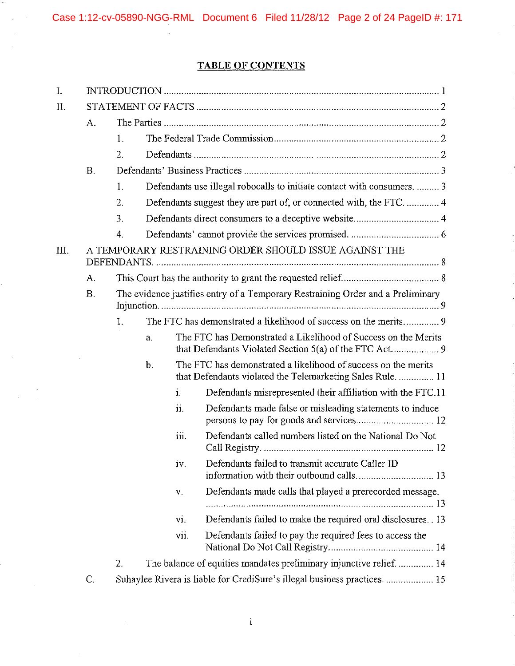# **TABLE OF CONTENTS**

| I.                                                                            |           |                  |                                                                         |      |                                                                                                                              |                                                         |
|-------------------------------------------------------------------------------|-----------|------------------|-------------------------------------------------------------------------|------|------------------------------------------------------------------------------------------------------------------------------|---------------------------------------------------------|
| II.                                                                           |           |                  |                                                                         |      |                                                                                                                              |                                                         |
|                                                                               | A.        |                  |                                                                         |      |                                                                                                                              |                                                         |
|                                                                               |           | 1.               |                                                                         |      |                                                                                                                              |                                                         |
|                                                                               |           | 2.               |                                                                         |      |                                                                                                                              |                                                         |
|                                                                               | <b>B.</b> |                  |                                                                         |      |                                                                                                                              |                                                         |
|                                                                               |           | 1.               | Defendants use illegal robocalls to initiate contact with consumers.  3 |      |                                                                                                                              |                                                         |
|                                                                               |           | 2.               |                                                                         |      |                                                                                                                              |                                                         |
|                                                                               |           | 3.               |                                                                         |      |                                                                                                                              |                                                         |
|                                                                               |           | $\overline{4}$ . |                                                                         |      |                                                                                                                              |                                                         |
| A TEMPORARY RESTRAINING ORDER SHOULD ISSUE AGAINST THE<br>Ш.                  |           |                  |                                                                         |      |                                                                                                                              |                                                         |
|                                                                               | А.        |                  |                                                                         |      |                                                                                                                              |                                                         |
|                                                                               | B.        |                  |                                                                         |      | The evidence justifies entry of a Temporary Restraining Order and a Preliminary                                              |                                                         |
|                                                                               |           | 1.               |                                                                         |      |                                                                                                                              |                                                         |
|                                                                               |           |                  | a.                                                                      |      | The FTC has Demonstrated a Likelihood of Success on the Merits                                                               |                                                         |
|                                                                               |           |                  | b.                                                                      |      | The FTC has demonstrated a likelihood of success on the merits<br>that Defendants violated the Telemarketing Sales Rule.  11 |                                                         |
|                                                                               |           |                  |                                                                         | i.   | Defendants misrepresented their affiliation with the FTC.11                                                                  |                                                         |
|                                                                               |           |                  |                                                                         | ii.  | Defendants made false or misleading statements to induce                                                                     |                                                         |
|                                                                               |           |                  |                                                                         |      | iii.                                                                                                                         | Defendants called numbers listed on the National Do Not |
|                                                                               |           |                  |                                                                         | iv.  | Defendants failed to transmit accurate Caller ID                                                                             |                                                         |
|                                                                               |           |                  |                                                                         | V.   | Defendants made calls that played a prerecorded message.                                                                     |                                                         |
|                                                                               |           |                  |                                                                         | vi.  | Defendants failed to make the required oral disclosures. 13                                                                  |                                                         |
|                                                                               |           |                  |                                                                         | vii. | Defendants failed to pay the required fees to access the                                                                     |                                                         |
|                                                                               |           | 2.               |                                                                         |      | The balance of equities mandates preliminary injunctive relief 14                                                            |                                                         |
| Suhaylee Rivera is liable for CrediSure's illegal business practices 15<br>C. |           |                  |                                                                         |      |                                                                                                                              |                                                         |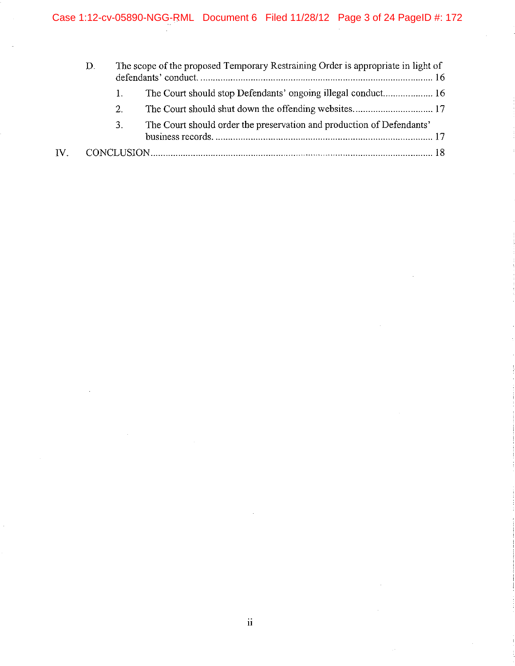|     | D. |         | The scope of the proposed Temporary Restraining Order is appropriate in light of |  |
|-----|----|---------|----------------------------------------------------------------------------------|--|
|     |    | 1.      |                                                                                  |  |
|     |    | $2_{-}$ |                                                                                  |  |
|     |    | 3.      | The Court should order the preservation and production of Defendants'            |  |
| IV. |    |         |                                                                                  |  |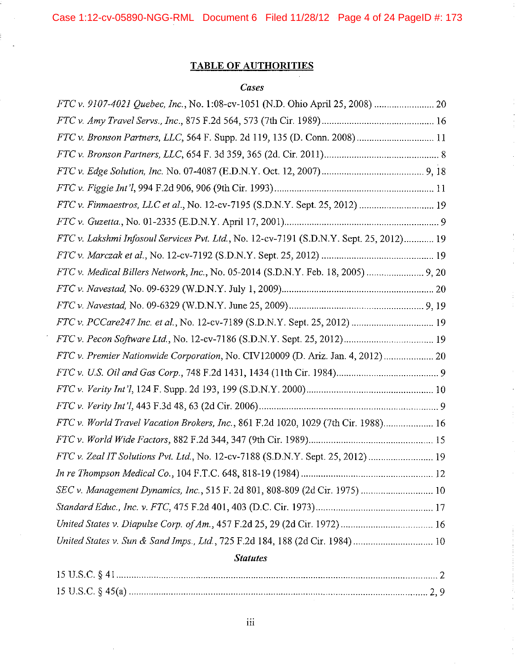Case 1:12-cv-05890-NGG-RML Document 6 Filed 11/28/12 Page 4 of 24 PageID #: 173

# **TABLE OF AUTHORITIES**

# *Cases*

| FTC v. 9107-4021 Quebec, Inc., No. 1:08-cv-1051 (N.D. Ohio April 25, 2008)  20          |  |
|-----------------------------------------------------------------------------------------|--|
|                                                                                         |  |
| FTC v. Bronson Partners, LLC, 564 F. Supp. 2d 119, 135 (D. Conn. 2008) 11               |  |
|                                                                                         |  |
|                                                                                         |  |
|                                                                                         |  |
| FTC v. Finmaestros, LLC et al., No. 12-cv-7195 (S.D.N.Y. Sept. 25, 2012)  19            |  |
|                                                                                         |  |
| FTC v. Lakshmi Infosoul Services Pvt. Ltd., No. 12-cv-7191 (S.D.N.Y. Sept. 25, 2012) 19 |  |
|                                                                                         |  |
| FTC v. Medical Billers Network, Inc., No. 05-2014 (S.D.N.Y. Feb. 18, 2005)  9, 20       |  |
|                                                                                         |  |
|                                                                                         |  |
| FTC v. PCCare247 Inc. et al., No. 12-cv-7189 (S.D.N.Y. Sept. 25, 2012)  19              |  |
|                                                                                         |  |
| FTC v. Premier Nationwide Corporation, No. CIV120009 (D. Ariz. Jan. 4, 2012)  20        |  |
|                                                                                         |  |
|                                                                                         |  |
|                                                                                         |  |
| FTC v. World Travel Vacation Brokers, Inc., 861 F.2d 1020, 1029 (7th Cir. 1988) 16      |  |
|                                                                                         |  |
| FTC v. Zeal IT Solutions Pvt. Ltd., No. 12-cv-7188 (S.D.N.Y. Sept. 25, 2012)  19        |  |
|                                                                                         |  |
| SEC v. Management Dynamics, Inc., 515 F. 2d 801, 808-809 (2d Cir. 1975)  10             |  |
|                                                                                         |  |
| United States v. Diapulse Corp. of Am., 457 F.2d 25, 29 (2d Cir. 1972)  16              |  |
| United States v. Sun & Sand Imps., Ltd., 725 F.2d 184, 188 (2d Cir. 1984)  10           |  |
|                                                                                         |  |

# *Statutes*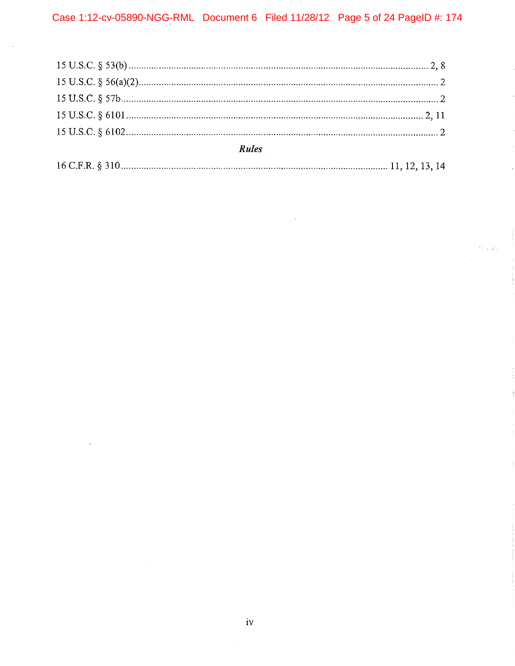| Rules |  |  |
|-------|--|--|
|       |  |  |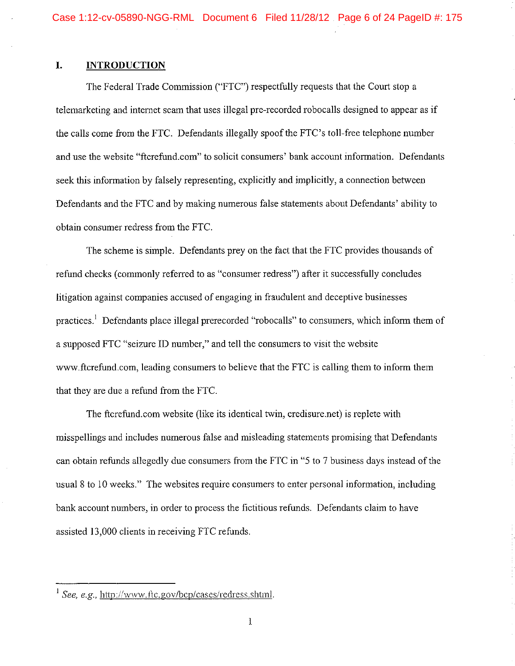## **I. INTRODUCTION**

The Federal Trade Commission ("FTC") respectfully requests that the Court stop a telemarketing and internet scam that uses illegal pre-recorded robocalls designed to appear as if the calls come from the FTC. Defendants illegally spoof the FTC's toll-free telephone number and use the website "ftcrefund.com" to solicit consumers' bank account information. Defendants seek this information by falsely representing, explicitly and implicitly, a connection between Defendants and the FTC and by making numerous false statements about Defendants' ability to obtain consumer redress from the FTC.

The scheme is simple. Defendants prey on the fact that the FTC provides thousands of refund checks (commonly referred to as "consumer redress") after it successfully concludes litigation against companies accused of engaging in fraudulent and deceptive businesses practices.<sup>1</sup> Defendants place illegal prerecorded "robocalls" to consumers, which inform them of a supposed FTC "seizure ID number," and tell the consumers to visit the website www.ftcrefund.com, leading consumers to believe that the FTC is calling them to inform them that they are due a refund from the FTC.

The ftcrefund.com website (like its identical twin, credisure.net) is replete with misspellings and includes numerous false and misleading statements promising that Defendants can obtain refunds allegedly due consumers from the FTC in "5 to 7 business days instead of the usual 8 to 10 weeks." The websites require consumers to enter personal information, including bank account numbers, in order to process the fictitious refunds. Defendants claim to have assisted 13,000 clients in receiving FTC refunds.

<sup>1</sup>*See, e.g.,* http://www.ftc.gov/bcp/cases/redress.shtml.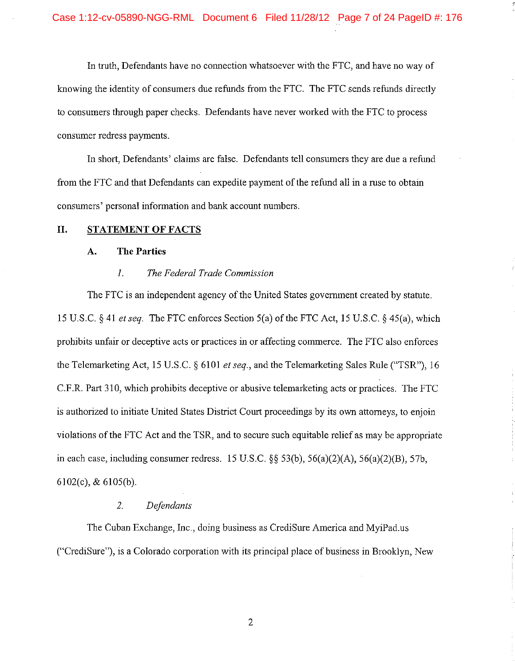In truth, Defendants have no connection whatsoever with the FTC, and have no way of knowing the identity of consumers due refunds from the FTC. The FTC sends refunds directly to consumers through paper checks. Defendants have never worked with the FTC to process consumer redress payments.

In short, Defendants' claims are false. Defendants tell consumers they are due a refund from the FTC and that Defendants can expedite payment of the refund all in a ruse to obtain consumers' personal information and bank account numbers.

#### **II. STATEMENT OF FACTS**

#### **A. The Parties**

### *I. The Federal Trade Commission*

The FTC is an independent agency of the United States government created by statute. 15 U.S.C. § 41 *et seq.* The FTC enforces Section 5(a) of the FTC Act, 15 U.S.C. § 45(a), which prohibits unfair or deceptive acts or practices in or affecting commerce. The FTC also enforces the Telemarketing Act, 15 U.S.C. § 6101 *et seq.,* and the Telemarketing Sales Rule ("TSR"), 16 C.F.R. Part 310, which prohibits deceptive or abusive telemarketing acts or practices. The FTC is authorized to initiate United States District Court proceedings by its own attorneys, to enjoin violations of the FTC Act and the TSR, and to secure such equitable relief as may be appropriate in each case, including consumer redress.  $15 \text{ U.S.C.}$   $\S$ §  $53(b)$ ,  $56(a)(2)(A)$ ,  $56(a)(2)(B)$ ,  $57b$ , 6102(c), & 6105(b).

### *2. Defendants*

The Cuban Exchange, Inc., doing business as CrediSure America and MyiPad.us ("CrediSure"), is a Colorado corporation with its principal place of business in Brooklyn, New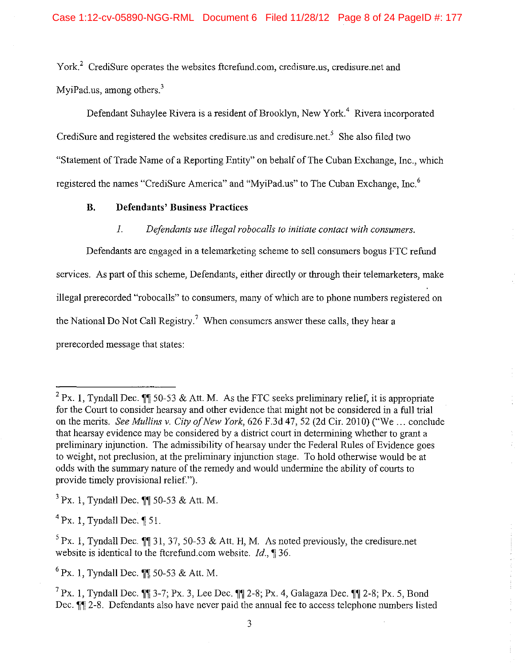York.<sup>2</sup> CrediSure operates the websites ftcrefund.com, credisure.us, credisure.net and MyiPad.us, among others. $3$ 

Defendant Suhaylee Rivera is a resident of Brooklyn, New York.<sup>4</sup> Rivera incorporated CrediSure and registered the websites credisure.us and credisure.net.<sup>5</sup> She also filed two "Statement of Trade Name of a Reporting Entity" on behalf of The Cuban Exchange, Inc., which registered the names "CrediSure America" and "MyiPad.us" to The Cuban Exchange, Inc.<sup>6</sup>

### **B. Defendants' Business Practices**

#### *1. Defendants use illegal robocalls to initiate contact with consumers.*

Defendants are engaged in a telemarketing scheme to sell consumers bogus FTC refund services. As part of this scheme, Defendants, either directly or through their telemarketers, make illegal prerecorded "robocalls" to consumers, many of which are to phone numbers registered on the National Do Not Call Registry.<sup>7</sup> When consumers answer these calls, they hear a prerecorded message that states:

 $3$  Px. 1, Tyndall Dec. **11** 50-53 & Att. M.

 $^{4}$  Px. 1. Tyndall Dec.  $\parallel$  51.

 $^{6}$  Px. 1, Tyndall Dec.  $\blacksquare$  50-53 & Att. M.

<sup>&</sup>lt;sup>2</sup> Px. 1, Tyndall Dec. **1**, 50-53 & Att. M. As the FTC seeks preliminary relief, it is appropriate for the Court to consider hearsay and other evidence that might not be considered in a full trial on the merits. *See Mullins v. City of New York,* 626 F.3d 47, 52 (2d Cir. 2010) ("We ... conclude that hearsay evidence may be considered by a district court in determining whether to grant a preliminary injunction. The admissibility of hearsay under the Federal Rules of Evidence goes to weight, not preclusion, at the preliminary injunction stage. To hold otherwise would be at odds with the summary nature of the remedy and would undermine the ability of courts to provide timely provisional relief.").

 $5$  Px. 1, Tyndall Dec. **11** 31, 37, 50-53 & Att. H, M. As noted previously, the credisure.net website is identical to the ftcrefund.com website.  $Id$ , **1** 36.

<sup>&</sup>lt;sup>7</sup> Px. 1, Tyndall Dec. **11** 3-7; Px. 3, Lee Dec. **11** 2-8; Px. 4, Galagaza Dec. **11** 2-8; Px. 5, Bond Dec.  $\mathbb{I}$  2-8. Defendants also have never paid the annual fee to access telephone numbers listed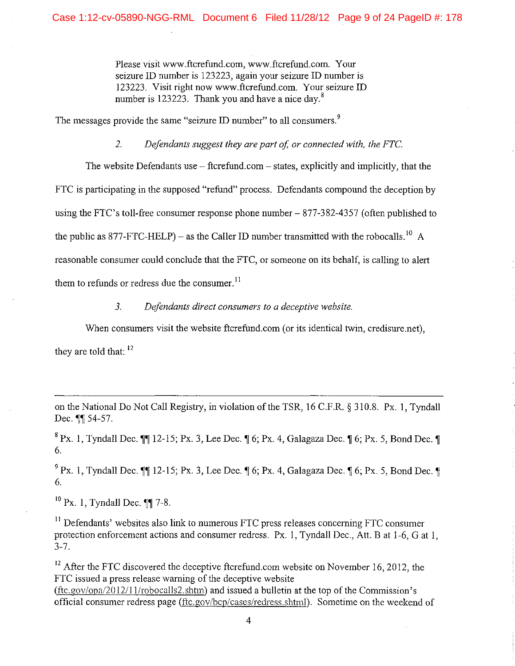Please visit www.ftcrefund.com, www.ftcrefund.com. Your seizure ID number is 123223, again your seizure ID number is 123223. Visit right now www.ftcrefund.com. Your seizure ID number is 123223. Thank you and have a nice day. $8$ 

The messages provide the same "seizure ID number" to all consumers. $9$ 

*2. Defendants suggest they are part of, or connected with, the FTC* 

The website Defendants use  $-$  ftcrefund.com  $-$  states, explicitly and implicitly, that the FTC is participating in the supposed "refund" process. Defendants compound the deception by using the FTC's toll-free consumer response phone number- 877-382-4357 (often published to the public as 877-FTC-HELP) – as the Caller ID number transmitted with the robocalls  $^{10}$  A reasonable consumer could conclude that the FTC, or someone on its behalf, is calling to alert them to refunds or redress due the consumer.<sup>11</sup>

*3. Defendants direct consumers to a deceptive website.* 

When consumers visit the website ftcrefund.com (or its identical twin, credisure.net).

they are told that: <sup>12</sup>

on the National Do Not Call Registry, in violation of the TSR, 16 C.F.R. § 310.8. Px. I, Tyndall Dec.  $\P\P$  54-57.

 $8 \text{ Px}$ . 1, Tyndall Dec.  $\text{M12-15}$ ; Px. 3, Lee Dec.  $\text{M}6$ ; Px. 4, Galagaza Dec.  $\text{M}6$ ; Px. 5, Bond Dec.  $\text{M}$ 6.

 $9^9$  Px. 1, Tyndall Dec.  $\blacksquare$  12-15; Px. 3, Lee Dec.  $\blacksquare$  6; Px. 4, Galagaza Dec.  $\blacksquare$  6; Px. 5, Bond Dec.  $\blacksquare$ 6.

 $10~\text{Px}$ . 1. Tyndall Dec.  $\P\P$  7-8.

 $11$  Defendants' websites also link to numerous FTC press releases concerning FTC consumer protection enforcement actions and consumer redress. Px. 1. Tyndall Dec., Att. B at 1-6, G at 1. 3-7.

 $12$  After the FTC discovered the deceptive ftcrefund.com website on November 16, 2012, the FTC issued a press release warning of the deceptive website  $(f_{c.90\sqrt{opa/2012}}/11$ /robocalls2.shtm) and issued a bulletin at the top of the Commission's official consumer redress page (ftc.gov/bcp/cases/redress.shtml). Sometime on the weekend of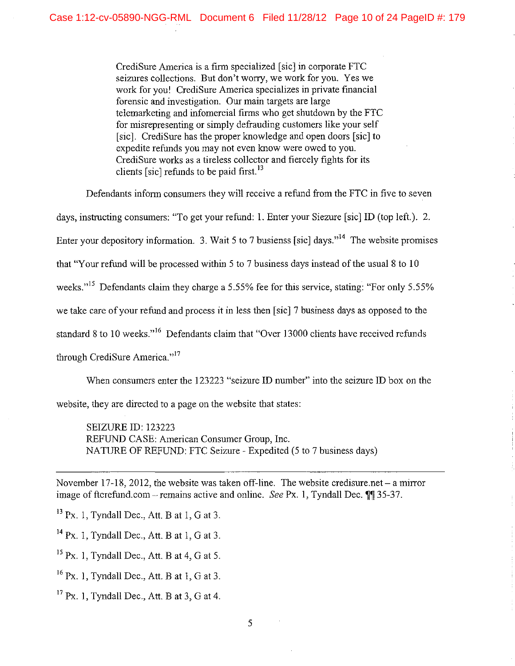CrediSure America is a firm specialized [sic] in corporate FTC seizures collections. But don't worry, we work for you. Yes we work for you! CrediSure America specializes in private fmancial forensic and investigation. Our main targets are large telemarketing and infomercial firms who get shutdown by the FTC for misrepresenting or simply defrauding customers like your self [sic]. CrediSure has the proper knowledge and open doors [sic] to expedite refunds you may not even know were owed to you. CrediSure works as a tireless collector and fiercely fights for its clients [sic] refunds to be paid first.<sup>13</sup>

Defendants inform consumers they will receive a refund from the FTC in five to seven

days, instructing consumers: "To get your refund: I. Enter your Siezure [sic] ID (top left.). 2.

Enter your depository information. 3. Wait 5 to 7 busienss [sic] days."<sup>14</sup> The website promises

that "Your refund will be processed within 5 to 7 business days instead of the usual 8 to 10

weeks."<sup>15</sup> Defendants claim they charge a 5.55% fee for this service, stating: "For only 5.55%

we take care of your refund and process it in less then [sic] 7 business days as opposed to the

standard 8 to 10 weeks."<sup>16</sup> Defendants claim that "Over 13000 clients have received refunds

through CrediSure America."<sup>17</sup>

When consumers enter the 123223 "seizure ID number" into the seizure ID box on the

website, they are directed to a page on the website that states:

SEIZURE ID: 123223 REFUND CASE: American Consumer Group, Inc. NATURE OF REFUND: FTC Seizure- Expedited (5 to 7 business days)

 $13$  Px. 1, Tyndall Dec., Att. B at 1, G at 3.

 $14$  Px. 1, Tyndall Dec., Att. B at 1, G at 3.

 $15$  Px. 1, Tyndall Dec., Att. B at 4, G at 5.

 $16$  Px. 1, Tyndall Dec., Att. B at 1, G at 3.

 $17$  Px. 1, Tyndall Dec., Att. B at 3, G at 4.

November 17-18, 2012, the website was taken off-line. The website credisure.net – a mirror image of ftcrefund.com – remains active and online. *See* Px. 1, Tyndall Dec.  $\P$  35-37.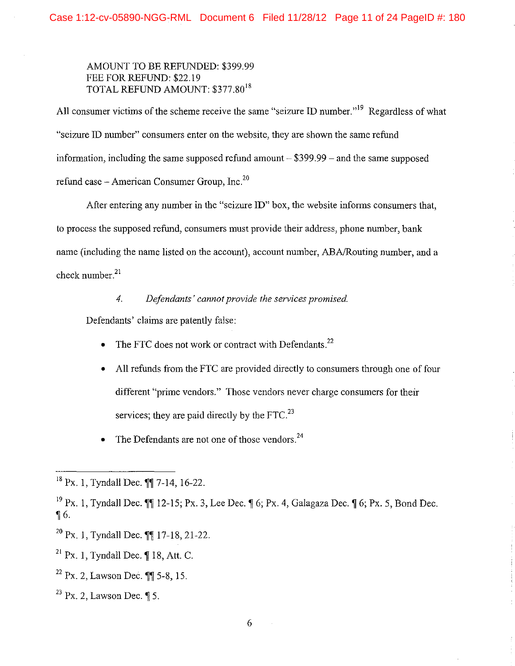## AMOUNT TO BE REFUNDED: \$399.99 FEE FOR REFUND: \$22.19 TOTAL REFUND AMOUNT: \$377.80<sup>18</sup>

All consumer victims of the scheme receive the same "seizure ID number."<sup>19</sup> Regardless of what "seizure ID number" consumers enter on the website, they are shown the same refund information, including the same supposed refund amount  $- $399.99$  – and the same supposed refund case – American Consumer Group, Inc. $^{20}$ 

After entering any number in the "seizure ID" box, the website infonns consumers that, to process the supposed refund, consumers must provide their address, phone number, bank name (including the name listed on the account), account number, ABA/Routing number, and a check number. $21$ 

## *4. Defendants' cannot provide the services promised.*

Defendants' claims are patently false:

- The FTC does not work or contract with Defendants.<sup>22</sup>
- All refunds from the FTC are provided directly to consumers through one of four different "prime vendors." Those vendors never charge consumers for their services; they are paid directly by the  $FTC<sup>23</sup>$
- The Defendants are not one of those vendors.<sup>24</sup>

 $^{20}$  Px. 1, Tyndall Dec.  $\P\P$  17-18, 21-22.

 $18 \text{ Px}$ . 1, Tyndall Dec. ¶¶ 7-14, 16-22.

<sup>&</sup>lt;sup>19</sup> Px. 1, Tyndall Dec.  $\P$ [12-15; Px. 3, Lee Dec.  $\P$  6; Px. 4, Galagaza Dec.  $\P$  6; Px. 5, Bond Dec.  $\sqrt{6}$ .

 $21$  Px. 1, Tyndall Dec.  $\parallel$  18, Att. C.

 $22 \text{ Px}$ , 2, Lawson Dec.  $\text{Y}$  5-8, 15.

 $^{23}$  Px. 2, Lawson Dec. ¶ 5.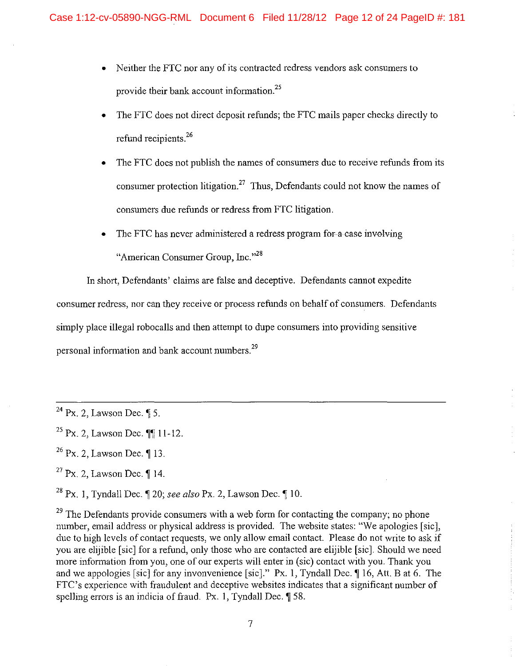- Neither the FTC nor any of its contracted redress vendors ask consumers to provide their bank account information.<sup>25</sup>
- The FTC does not direct deposit refunds; the FTC mails paper checks directly to refund recipients. $26$
- The FTC does not publish the names of consumers due to receive refunds from its consumer protection litigation.<sup>27</sup> Thus, Defendants could not know the names of consumers due refunds or redress from FTC litigation.
- The FTC has never administered a redress program for-a-case invelving "American Consumer Group, Inc."<sup>28</sup>

In short, Defendants' claims are false and deceptive. Defendants cannot expedite consumer redress, nor can they receive or process refunds on behalf of consumers. Defendants simply place illegal robocalls and then attempt to dupe consumers into providing sensitive personal information and bank account numbers.<sup>29</sup>

 $29$  The Defendants provide consumers with a web form for contacting the company; no phone number, email address or physical address is provided. The website states: "We apologies [sic], due to high levels of contact requests, we only allow email contact. Please do not write to ask if you are elijible [sic] for a refund, only those who are contacted are elijible [sic]. Should we need more information from you, one of our experts will enter in (sic) contact with you. Thank you and we appologies [sic] for any invonvenience [sic]." Px. 1, Tyndall Dec.  $\parallel$  16, Att. B at 6. The FTC's experience with fraudulent and deceptive websites indicates that a significant number of spelling errors is an indicia of fraud. Px. 1, Tyndall Dec.  $\P$  58.

 $24$  Px. 2, Lawson Dec.  $\sqrt{5}$ .

 $25$  Px. 2, Lawson Dec.  $\P\P$  11-12.

 $^{26}$  Px. 2, Lawson Dec. 1 13.

 $27$  Px. 2, Lawson Dec.  $\P$  14.

<sup>&</sup>lt;sup>28</sup> Px. 1, Tyndall Dec.  $\sqrt{20}$ ; *see also* Px. 2, Lawson Dec.  $\sqrt{10}$ .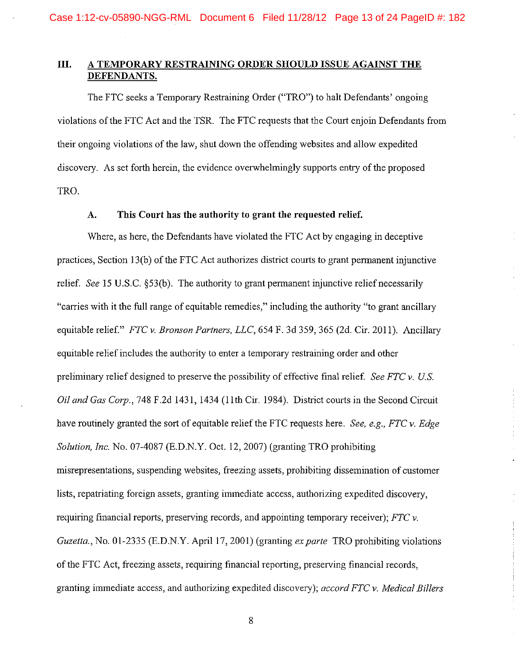## **III. A TEMPORARY RESTRAINING ORDER SHOULD ISSUE AGAINST THE DEFENDANTS.**

The FTC seeks a Temporary Restraining Order ("TRO") to halt Defendants' ongoing violations of the FTC Act and the TSR. The FTC requests that the Court enjoin Defendants from their ongoing violations of the law, shut down the offending websites and allow expedited discovery. As set forth herein, the evidence overwhelmingly supports entry of the proposed TRO.

### **A. This Court has the authority to grant the requested relief.**

Where, as here, the Defendants have violated the FTC Act by engaging in deceptive practices, Section 13(b) of the FTC Act authorizes district courts to grant permanent injunctive relief. *See* 15 U.S.C. §53(b). The authority to grant permanent injunctive relief necessarily "carries with it the full range of equitable remedies," including the authority "to grant ancillary equitable relief." *FTC v. Bronson Partners, LLC,* 654 F. 3d 359, 365 (2d. Cir. 2011). Ancillary equitable relief includes the authority to enter a temporary restraining order and other preliminary relief designed to preserve the possibility of effective final relief. *See FTC v. US.*  Oil *and Gas Cmp.,* 748 F.2d 1431, 1434 (lith Cir. 1984). District courts in the Second Circuit have routinely granted the sort of equitable relief the FTC requests here. *See, e.g., FTC v. Edge Solution, Inc.* No. 07-4087 (E.D.N.Y. Oct. 12, 2007) (granting TRO prohibiting misrepresentations, suspending websites, freezing assets, prohibiting dissemination of customer lists, repatriating foreign assets, granting immediate access, authorizing expedited discovery, requiring financial reports, preserving records, and appointing temporary receiver); *FTC v. Guzetta., No.* 01-2335 (E.D.N.Y. April 17, 2001) (granting *ex parte* TRO prohibiting violations of the FTC Act, freezing assets, requiring financial reporting, preserving financial records, granting immediate access, and authorizing expedited discovery); *accord FTC v. Medical Billers* 

8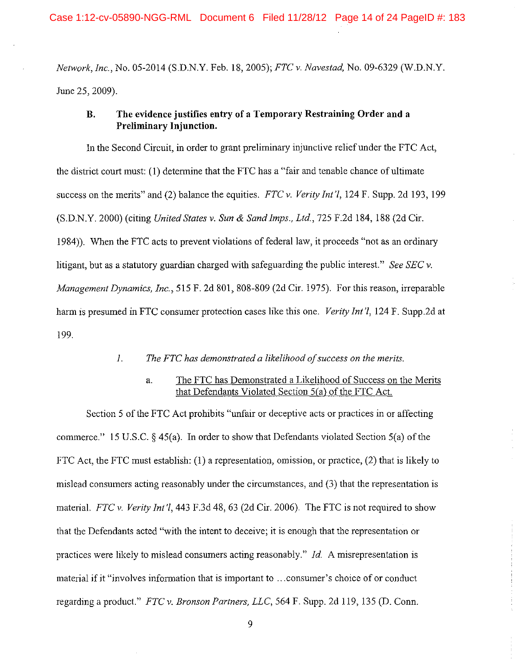*Network, Inc.,* No. 05-2014 (S.D.N.Y. Feb. 18, 2005); *FTC v. Naves tad,* No. 09-6329 (W.D.N.Y. June 25, 2009).

## **B. The evidence justifies entry of a Temporary Restraining Order and a Preliminary Injunction.**

In the Second Circuit, in order to grant preliminary injunctive relief under the FTC Act, the district court must: (1) determine that the FTC has a "fair and tenable chance of ultimate success on the merits" and (2) balance the equities. *FTC v. Verity Int'l,* 124 F. Supp. 2d 193, 199 (S.D.N.Y. 2000) (citing *United States v. Sun* & *Sand Imps., Ltd.,* 725 F.2d 184, 188 (2d Cir. 1984)). When the FTC acts to prevent violations of federal law, it proceeds "not as an ordinary litigant, but as a statutory guardian charged with safeguarding the public interest." *See SEC v. Management Dynamics, Inc.,* 515 F. 2d 801, 808-809 (2d Cir. 1975). For this reason, irreparable harm is presumed in FTC consumer protection cases like this one. *Verity Int 'l,* 124 F. Supp.2d at 199.

### *1. The FTC has demonstrated a likelihood of success on the merits.*

## a. The FTC has Demonstrated a Likelihood of Success on the Merits that Defendants Violated Section 5(a) of the FTC Act.

Section 5 of the FTC Act prohibits "unfair or deceptive acts or practices in or affecting commerce." 15 U.S.C.  $\S$  45(a). In order to show that Defendants violated Section 5(a) of the FTC Act, the FTC must establish: (1) a representation, omission, or practice, (2) that is likely to mislead consumers acting reasonably under the circumstances, and (3) that the representation is material. *FTC v. Verity Jnt'l,* 443 F.3d 48, 63 (2d Cir. 2006). The FTC is not required to show that the Defendants acted "with the intent to deceive; it is enough that the representation or practices were likely to mislead consumers acting reasonably." *Id.* A misrepresentation is material if it "involves information that is important to ... consumer's choice of or conduct regarding a product." *FTC v. Bronson Partners, LLC,* 564 F. Supp. 2d 119, 135 (D. Conn.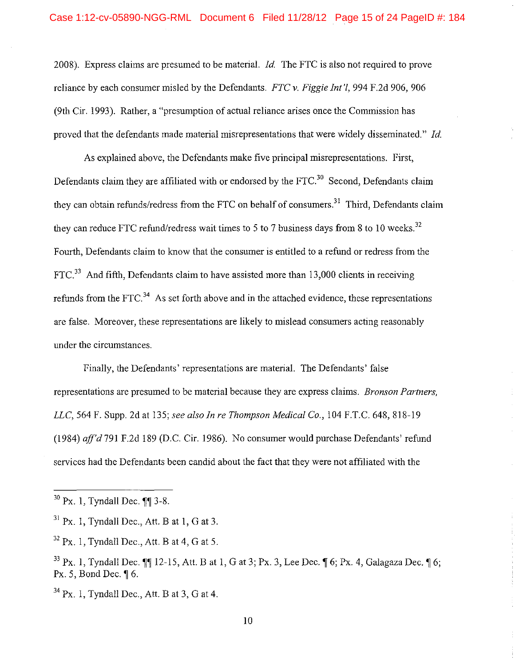2008). Express claims are presumed to be material. *!d.* The FTC is also not required to prove reliance by each consumer misled by the Defendants. *FTC v. Figgie lnt 'l,* 994 F.2d 906, 906 (9th Cir. 1993). Rather, a "presumption of actual reliance arises once the Commission has proved that the defendants made material misrepresentations that were widely disseminated." *!d.* 

As explained above, the Defendants make five principal misrepresentations. First, Defendants claim they are affiliated with or endorsed by the FTC.<sup>30</sup> Second, Defendants claim they can obtain refunds/redress from the FTC on behalf of consumers.<sup>31</sup> Third, Defendants claim they can reduce FTC refund/redress wait times to 5 to 7 business days from 8 to 10 weeks.<sup>32</sup> Fourth, Defendants claim to know that the consumer is entitled to a refund or redress from the  $FTC<sup>33</sup>$  And fifth, Defendants claim to have assisted more than 13,000 clients in receiving refunds from the FTC.<sup>34</sup> As set forth above and in the attached evidence, these representations are false. Moreover, these representations are likely to mislead consumers acting reasonably under the circumstances.

Finally, the Defendants' representations are material. The Defendants' false representations are presumed to be material because they are express claims. *Bronson Partners, LLC,* 564 F. Supp. 2d at 135; *see also In re Thompson Medical Co.,* 104 F.T.C. 648, 818-19 (1984) *aff'd* 791 F.2d 189 (D.C. Cir. 1986). No consumer would purchase Defendants' refund services had the Defendants been candid about the fact that they were not affiliated with the

 $34$  Px. 1, Tyndall Dec., Att. B at 3, G at 4.

 $30$  Px. 1, Tyndall Dec.  $\P$  $3-8$ .

 $31$  Px. 1, Tyndall Dec., Att. B at 1, G at 3.

 $32$  Px. 1, Tyndall Dec., Att. B at 4, G at 5.

 $33$  Px. 1, Tyndall Dec.  $\blacksquare$  12-15, Att. B at 1, G at 3; Px. 3, Lee Dec.  $\blacksquare$  6; Px. 4, Galagaza Dec.  $\blacksquare$  6; Px. 5, Bond Dec.  $\parallel$  6.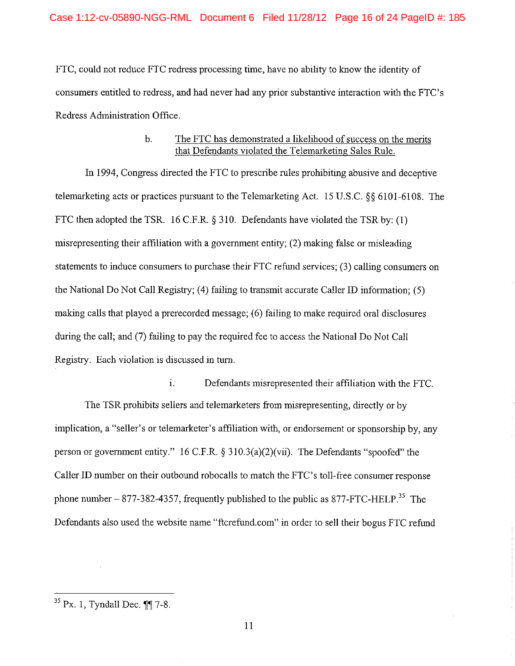FTC, could not reduce FTC redress processing time, have no ability to know the identity of consumers entitled to redress, and had never had any prior substantive interaction with the FTC's Redress Administration Office.

## b. The FTC has demonstrated a likelihood of success on the merits that Defendants violated the Telemarketing Sales Rule.

In 1994, Congress directed the FTC to prescribe rules prohibiting abusive and deceptive telemarketing acts or practices pursuant to the Telemarketing Act. 15 U.S.C. §§ 6101-6108. The FTC then adopted the TSR. 16 C.F.R. § 310. Defendants have violated the TSR by: (1) misrepresenting their affiliation with a government entity; (2) making false or misleading statements to induce consumers to purchase their FTC refund services; (3) calling consumers on the National Do Not Call Registry; (4) failing to transmit accurate Caller ID infonnation; (5) making calls that played a prerecorded message; (6) failing to make required oral disclosures during the call; and (7) failing to pay the required fee to access the National Do Not Call Registry. Each violation is discussed in turn.

1. Defendants misrepresented their affiliation with the FTC. The TSR prohibits sellers and telemarketers from misrepresenting, directly or by implication, a "seller's or telemarketer's affiliation with, or endorsement or sponsorship by, any person or government entity." 16 C.F.R. § 310.3(a)(2)(vii). The Defendants "spoofed" the Caller ID number on their outbound robocalls to match the FTC's toll-free consumer response phone number  $- 877-382-4357$ , frequently published to the public as 877-FTC-HELP.<sup>35</sup> The Defendants also used the website name "ftcrefund.com" in order to sell their bogus FTC refund

 $35$  Px. 1, Tyndall Dec.  $\sqrt{9}$  7-8.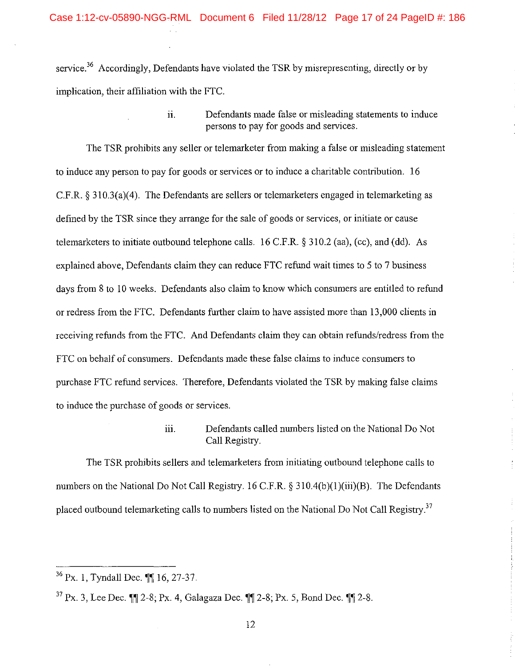service.<sup>36</sup> Accordingly, Defendants have violated the TSR by misrepresenting, directly or by implication, their affiliation with the FTC.

> ii. Defendants made false or misleading statements to induce persons to pay for goods and services.

The TSR prohibits any seller or telemarketer from making a false or misleading statement to induce any person to pay for goods or services or to induce a charitable contribution. 16 C.F.R.  $\S 310.3(a)(4)$ . The Defendants are sellers or telemarketers engaged in telemarketing as defined by the TSR since they arrange for the sale of goods or services, or initiate or cause telemarketers to initiate outbound telephone calls. 16 C.F.R. § 310.2 (aa), (cc), and (dd). As explained above, Defendants claim they can reduce FTC refund wait times to 5 to 7 business days from 8 to 10 weeks. Defendants also claim to know which consumers are entitled to refund or redress from the FTC. Defendants further claim to have assisted more than 13,000 clients in receiving refunds from the FTC. And Defendants claim they can obtain refunds/redress from the FTC on behalf of consumers. Defendants made these false claims to induce consumers to purchase FTC refund services. Therefore, Defendants violated the TSR by making false claims to induce the purchase of goods or services.

> iii. Defendants called numbers listed on the National Do Not Call Registry.

The TSR prohibits sellers and telemarketers from initiating outbound telephone calls to numbers on the National Do Not Call Registry. 16 C.F.R. § 310.4(b)(1)(iii)(B). The Defendants placed outbound telemarketing calls to numbers listed on the National Do Not Call Registry.<sup>37</sup>

 $36$  Px. 1, Tyndall Dec.  $\P\P$  16, 27-37.

 $37 \text{ Px}$ . 3, Lee Dec.  $\text{MP } 2-8$ ; Px. 4, Galagaza Dec.  $\text{MP } 2-8$ ; Px. 5, Bond Dec.  $\text{MP } 2-8$ .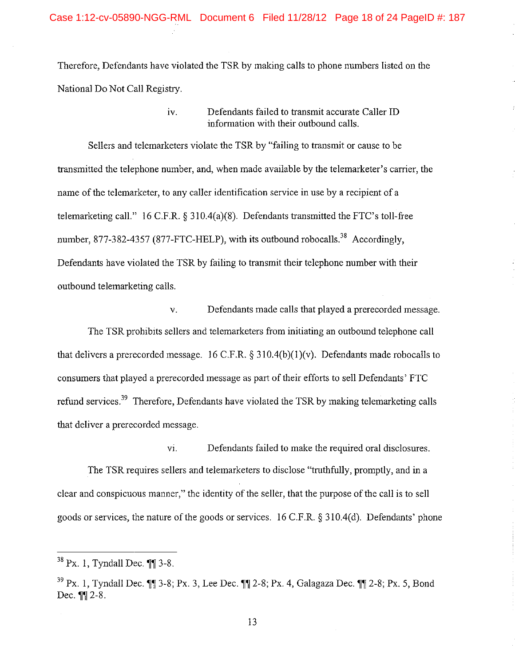Therefore, Defendants have violated the TSR by making calls to phone numbers listed on the National Do Not Call Registry.

> IV. Defendants failed to transmit accurate Caller ID information with their outbound calls.

Sellers and telemarketers violate the TSR by "failing to transmit or cause to be transmitted the telephone number, and, when made available by the telemarketer's carrier, the name of the telemarketer, to any caller identification service in use by a recipient of a telemarketing call." 16 C.F.R. § 310.4(a)(8). Defendants transmitted the FTC's toll-free number, 877-382-4357 (877-FTC-HELP), with its outbound robocalls.<sup>38</sup> Accordingly, Defendants have violated the TSR by failing to transmit their telephone number with their outbound telemarketing calls.

v. Defendants made calls that played a prerecorded message. The TSR prohibits sellers and telemarketers from initiating an outbound telephone call that delivers a prerecorded message. 16 C.F.R.  $\S 310.4(b)(1)(v)$ . Defendants made robocalls to consumers that played a prerecorded message as part of their efforts to sell Defendants' FTC refund services.<sup>39</sup> Therefore, Defendants have violated the TSR by making telemarketing calls that deliver a prerecorded message.

The TSR requires sellers and telemarketers to disclose "truthfully, promptly, and in a clear and conspicuous manner," the identity of the seller, that the purpose of the call is to sell goods or services, the nature of the goods or services. 16 C.F.R. § 310.4(d). Defendants' phone

VI. Defendants failed to make the required oral disclosures.

13

 $38$  Px. 1, Tyndall Dec.  $\P\P$  3-8.

 $39$  Px. 1, Tyndall Dec.  $\blacksquare$  3-8; Px. 3, Lee Dec.  $\blacksquare$  2-8; Px. 4, Galagaza Dec.  $\blacksquare$  2-8; Px. 5, Bond Dec.  $\P\P$  2-8.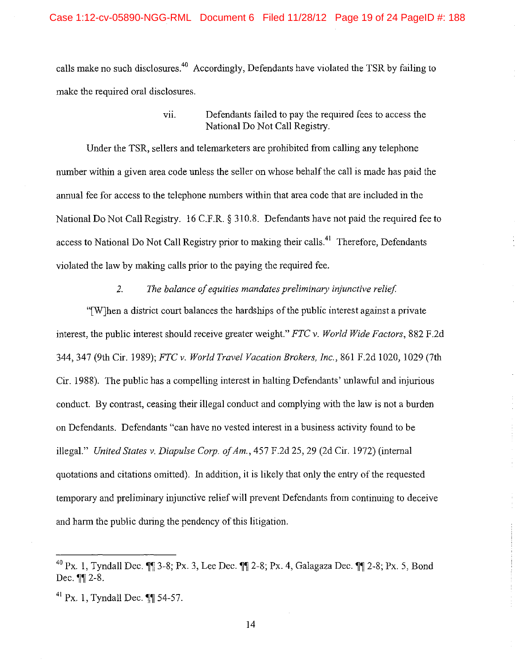calls make no such disclosures.<sup>40</sup> Accordingly, Defendants have violated the TSR by failing to make the required oral disclosures.

## vii. Defendants failed to pay the required fees to access the National Do Not Call Registry.

Under the TSR, sellers and telemarketers are prohibited from calling any telephone number within a given area code unless the seller on whose behalf the call is made has paid the annual fee for access to the telephone numbers within that area code that are included in the National Do Not Call Registry. 16 C.F.R. § 310.8. Defendants have not paid the required fee to access to National Do Not Call Registry prior to making their calls.<sup>41</sup> Therefore, Defendants violated the law by making calls prior to the paying the required fee.

#### 2. The balance of equities mandates preliminary injunctive relief.

"[W]hen a district court balances the hardships of the public interest against a private interest, the public interest should receive greater weight." *FTC v. World Wide Factors,* 882 F.2d 344, 347 (9th Cir. 1989); *FTC v. World Travel Vacation Brokers, Inc.,* 861 F.2d 1020, 1029 (7th Cir. 1988). The public has a compelling interest in halting Defendants' unlawful and injurious conduct. By contrast, ceasing their illegal conduct and complying with the law is not a burden on Defendants. Defendants "can have no vested interest in a business activity found to be illegal." *United States v. Diapulse Corp. of Am.*, 457 F.2d 25, 29 (2d Cir. 1972) (internal quotations and citations omitted). In addition, it is likely that only the entry of the requested temporary and preliminary injunctive relief will prevent Defendants from continuing to deceive and harm the public during the pendency of this litigation.

<sup>&</sup>lt;sup>40</sup> Px. 1, Tyndall Dec.  $\mathbb{I}$  3-8; Px. 3, Lee Dec.  $\mathbb{I}$  2-8; Px. 4, Galagaza Dec.  $\mathbb{I}$  2-8; Px. 5, Bond Dec.  $\P$ ||2-8.

 $^{41}$  Px. 1, Tyndall Dec.  $\P\P$  54-57.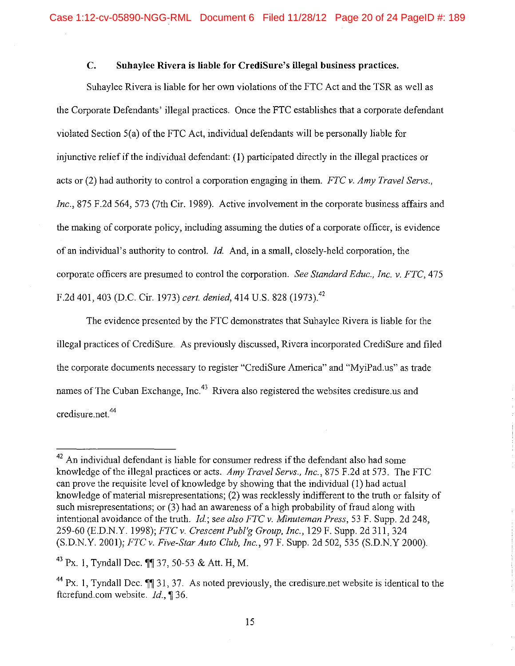## **C. Suhaylee Rivera is liable for CrediSure's illegal business practices.**

Suhaylee Rivera is liable for her own violations of the FTC Act and the TSR as well as the Corporate Defendants' illegal practices. Once the FTC establishes that a corporate defendant violated Section 5(a) of the FTC Act, individual defendants will be personally liable for injunctive relief if the individual defendant: (1) participated directly in the illegal practices or acts or (2) had authority to control a corporation engaging in them. *FTC v. Amy Travel Servs., Inc.,* 875 F.2d 564, 573 (7th Cir. 1989). Active involvement in the corporate business affairs and the making of corporate policy, including assuming the duties of a corporate officer, is evidence of an individual's authority to control. *!d.* And, in a small, closely-held corporation, the corporate officers are presumed to control the corporation. *See Standard Educ., Inc. v. FTC,* 475 F.2d 401,403 (D.C. Cir. 1973) *cert. denied,* 414 U.S. 828 (1973) <sup>42</sup>

The evidence presented by the FTC demonstrates that Suhaylee Rivera is liable for the illegal practices of CrediSure. As previously discussed, Rivera incorporated CrediSure and filed the corporate documents necessary to register "CrediSure America" and "MyiPad.us" as trade names of The Cuban Exchange, Inc.<sup>43</sup> Rivera also registered the websites credisure us and credisure net.<sup>44</sup>

 $42$  An individual defendant is liable for consumer redress if the defendant also had some knowledge of the illegal practices or acts. *Amy Travel Servs., Inc.,* 875 F.2d at 573. The FTC can prove the requisite level of knowledge by showing that the individual (I) had actual knowledge of material misrepresentations; (2) was recklessly indifferent to the truth or falsity of such misrepresentations; or (3) had an awareness of a high probability of fraud along with intentional avoidance of the truth. *!d.; see also FTC v. Minuteman Press,* 53 F. Supp. 2d 248, 259-60 (E.D.N.Y. 1998); *FTC v. Crescent Publ'g Group, Inc.,* 129 F. Supp. 2d 311, 324 (S.D.N.Y. 2001); *FTC v. Five-Star Auto Club, Inc.,* 97 F. Supp. 2d 502, 535 (S.D.N.Y 2000).

 $43$  Px. 1, Tyndall Dec.  $\P$  37, 50-53 & Att. H, M.

 $44$  Px. 1, Tyndall Dec.  $\P$  31, 37. As noted previously, the credisure.net website is identical to the ftcrefund.com website.  $Id.$  136.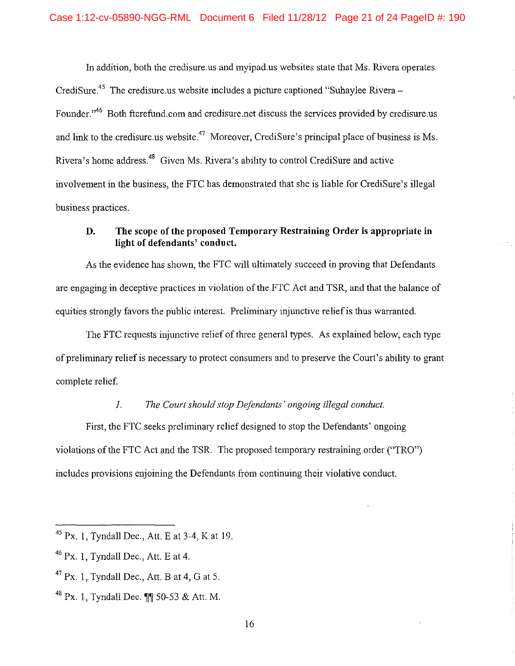In addition, both the credisure.us and myipad.us websites state that Ms. Rivera operates CrediSure.<sup>45</sup> The credisure.us website includes a picture captioned "Suhaylee Rivera – Founder."<sup>46</sup> Both ftcrefund.com and credisure.net discuss the services provided by credisure.us and link to the credisure.us website.<sup>47</sup> Moreover, CrediSure's principal place of business is Ms. Rivera's home address 48 Given Ms. Rivera's ability to control CrediSure and active involvement in the business, the FTC has demonstrated that she is liable for CrediSure's illegal business practices.

## **D. The scope of the proposed Temporary Restraining Order is appropriate in light of defendants' conduct.**

As the evidence has shown, the FTC will ultimately succeed in proving that Defendants are engaging in deceptive practices in violation of the FTC Act and TSR, and that the balance of equities strongly favors the public interest. Preliminary injunctive relief is thus warranted.

The FTC requests injunctive relief of three general types. As explained below, each type of preliminary relief is necessary to protect consumers and to preserve the Court's ability to grant complete relief.

### *1. The Court should stop Defendants' ongoing illegal conduct.*

First, the FTC seeks preliminary relief designed to stop the Defendants' ongoing violations of the FTC Act and the TSR. The proposed temporary restraining order ("TRO") includes provisions enjoining the Defendants from continuing their violative conduct.

<sup>45</sup> Px. I, Tyndall Dec., Att. Eat 3-4, Kat 19.

<sup>46</sup> Px. I, Tyndall Dec., Att. E at 4.

 $^{47}$  Px. 1, Tyndall Dec., Att. B at 4, G at 5.

 $^{48}$  Px. 1, Tyndall Dec.  $\P\P$  50-53 & Att. M.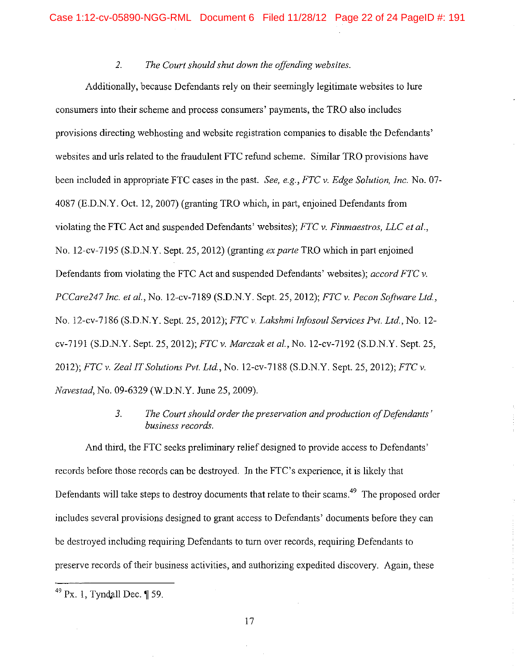## *2. The Court should shut down the offending websites.*

Additionally, because Defendants rely on their seemingly legitimate websites to lure consumers into their scheme and process consumers' payments, the TRO also includes provisions directing webhosting and website registration companies to disable the Defendants' websites and uris related to the fraudulent FTC refund scheme. Similar TRO provisions have been included in appropriate FTC cases in the past. *See, e.g., FTC v. Edge Solution, Inc.* No. 07- 4087 (E.D.N.Y. Oct. 12, 2007) (granting TRO which, in part, enjoined Defendants from violating the FTC Act and suspended Defendants' websites); *FTC v. Finmaestros, LLC et al.,*  No. 12-cv-7195 (S.D.N.Y. Sept. 25, 2012) (granting *ex parte* TRO which in part enjoined Defendants from violating the FTC Act and suspended Defendants' websites); *accord FTC v. PCCare247 Inc. et al.,* No. 12-cv-7189 (S.D.N.Y. Sept. 25, 2012); *FTC v. Pecan Software Ltd.,*  No. 12-cv-7186 (S.D.N.Y. Sept. 25, 2012); *FTCv. Lakshmiinfosoul Services Pvt. Ltd.,* No. 12 cv-7191 (S.D.N.Y. Sept. 25, 2012); *FTC v. Marczak et al.,* No. 12-cv-7192 (S.D.N.Y. Sept. 25, 2012); *FTC v. Zeal IT Solutions Pvt. Ltd.,* No. 12-cv-7188 (S.D.N.Y. Sept. 25, 2012); *FTC v. Navestad,* No. 09-6329 (W.D.N.Y. June 25, 2009).

## *3. The Court should order the preservation and production of Defendants' business records.*

And third, the FTC seeks preliminary relief designed to provide access to Defendants' records before those records can be destroyed. In the FTC's experience, it is likely that Defendants will take steps to destroy documents that relate to their scams.<sup>49</sup> The proposed order includes several provisions designed to grant access to Defendants' documents before they can be destroyed including requiring Defendants to turn over records, requiring Defendants to preserve records of their business activities, and authorizing expedited discovery. Again, these

17

 $49$  Px. 1, Tyndall Dec.  $\P$  59.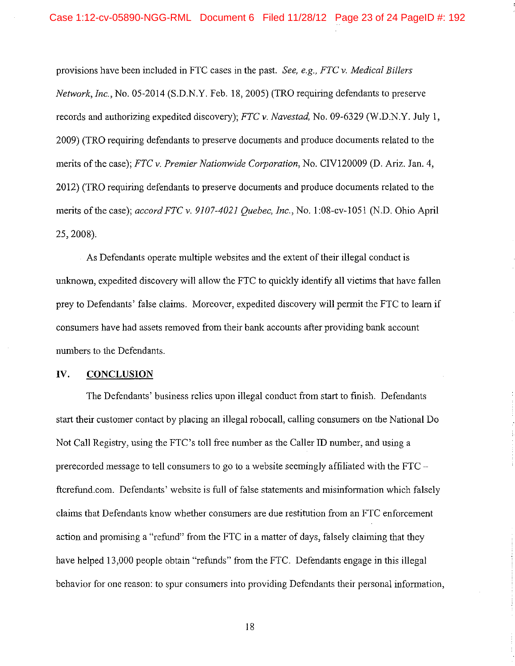provisions have been included in FTC cases in the past. *See, e.g., FTC v. Medical Billers Network, Inc.,* No. 05-2014 (S.D.N.Y. Feb. 18, 2005) (TRO requiring defendants to preserve records and authorizing expedited discovery); *FTC v. Navestad,* No. 09-6329 (W.D.N.Y. July I, 2009) (TRO requiring defendants to preserve documents and produce documents related to the merits of the case); *FTC v. Premier Nationwide Corporation,* No. CIV120009 (D. Ariz. Jan. 4, 2012) (TRO requiring defendants to preserve documents and produce documents related to the merits of the case); *accord FTC v. 9107-4021 Quebec, Inc.,* No. 1 :08-cv-1051 (N.D. Ohio April 25, 2008).

As Defendants operate multiple websites and the extent of their illegal conduct is unknown, expedited discovery will allow the FTC to quickly identify all victims that have fallen prey to Defendants' false claims. Moreover, expedited discovery will permit the FTC to learn if consumers have had assets removed from their bank accounts after providing bank account numbers to the Defendants.

## **IV. CONCLUSION**

The Defendants' business relies upon illegal conduct from start to finish. Defendants start their customer contact by placing an illegal robocall, calling consumers on the National Do Not Call Registry, using the FTC's toll free number as the Caller ID number, and using a prerecorded message to tell consumers to go to a website seemingly affiliated with the  $FTC$ ftcrefund.com. Defendants' website is full of false statements and misinformation which falsely claims that Defendants know whether consumers are due restitution from an FTC enforcement action and promising a "refund" from the FTC in a matter of days, falsely claiming that they have helped 13,000 people obtain "refunds" from the FTC. Defendants engage in this illegal behavior for one reason: to spur consumers into providing Defendants their personal information,

18